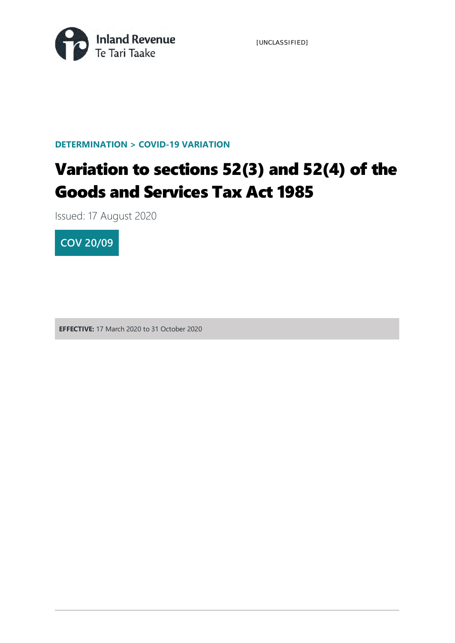

[UNCLASSIFIED]

**DETERMINATION > COVID-19 VARIATION**

# Variation to sections 52(3) and 52(4) of the Goods and Services Tax Act 1985

Issued: 17 August 2020



**EFFECTIVE:** 17 March 2020 to 31 October 2020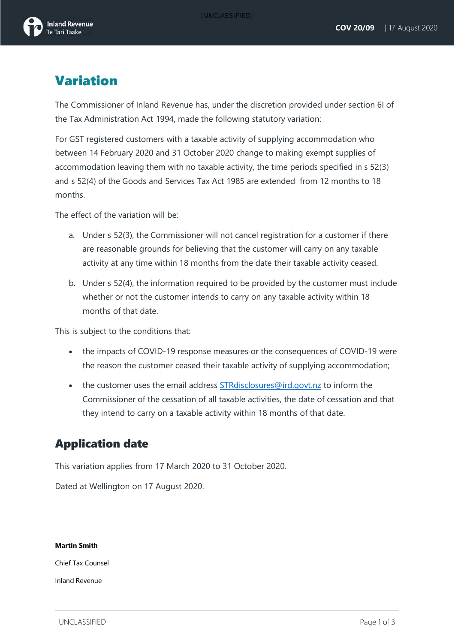

### Variation

The Commissioner of Inland Revenue has, under the discretion provided under section 6I of the Tax Administration Act 1994, made the following statutory variation:

For GST registered customers with a taxable activity of supplying accommodation who between 14 February 2020 and 31 October 2020 change to making exempt supplies of accommodation leaving them with no taxable activity, the time periods specified in s 52(3) and s 52(4) of the Goods and Services Tax Act 1985 are extended from 12 months to 18 months.

The effect of the variation will be:

- a. Under s 52(3), the Commissioner will not cancel registration for a customer if there are reasonable grounds for believing that the customer will carry on any taxable activity at any time within 18 months from the date their taxable activity ceased.
- b. Under s 52(4), the information required to be provided by the customer must include whether or not the customer intends to carry on any taxable activity within 18 months of that date.

This is subject to the conditions that:

- the impacts of COVID-19 response measures or the consequences of COVID-19 were the reason the customer ceased their taxable activity of supplying accommodation;
- the customer uses the email address **STRdisclosures@ird.govt.nz** to inform the Commissioner of the cessation of all taxable activities, the date of cessation and that they intend to carry on a taxable activity within 18 months of that date.

### Application date

This variation applies from 17 March 2020 to 31 October 2020.

Dated at Wellington on 17 August 2020.

#### **Martin Smith**

Chief Tax Counsel

Inland Revenue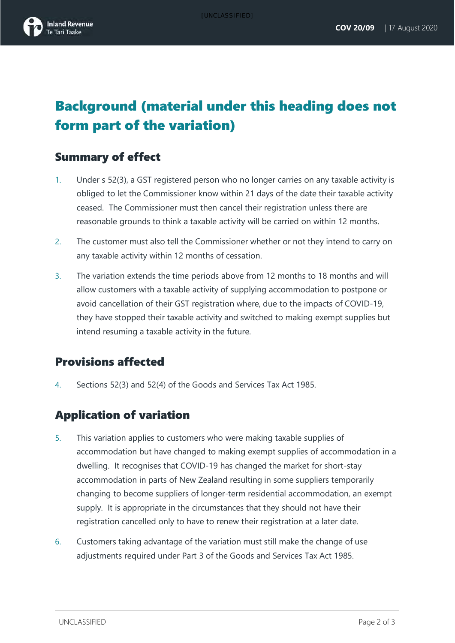## Background (material under this heading does not form part of the variation)

### Summary of effect

- 1. Under s 52(3), a GST registered person who no longer carries on any taxable activity is obliged to let the Commissioner know within 21 days of the date their taxable activity ceased. The Commissioner must then cancel their registration unless there are reasonable grounds to think a taxable activity will be carried on within 12 months.
- 2. The customer must also tell the Commissioner whether or not they intend to carry on any taxable activity within 12 months of cessation.
- 3. The variation extends the time periods above from 12 months to 18 months and will allow customers with a taxable activity of supplying accommodation to postpone or avoid cancellation of their GST registration where, due to the impacts of COVID-19, they have stopped their taxable activity and switched to making exempt supplies but intend resuming a taxable activity in the future.

### Provisions affected

4. Sections 52(3) and 52(4) of the Goods and Services Tax Act 1985.

### Application of variation

- 5. This variation applies to customers who were making taxable supplies of accommodation but have changed to making exempt supplies of accommodation in a dwelling. It recognises that COVID-19 has changed the market for short-stay accommodation in parts of New Zealand resulting in some suppliers temporarily changing to become suppliers of longer-term residential accommodation, an exempt supply. It is appropriate in the circumstances that they should not have their registration cancelled only to have to renew their registration at a later date.
- 6. Customers taking advantage of the variation must still make the change of use adjustments required under Part 3 of the Goods and Services Tax Act 1985.